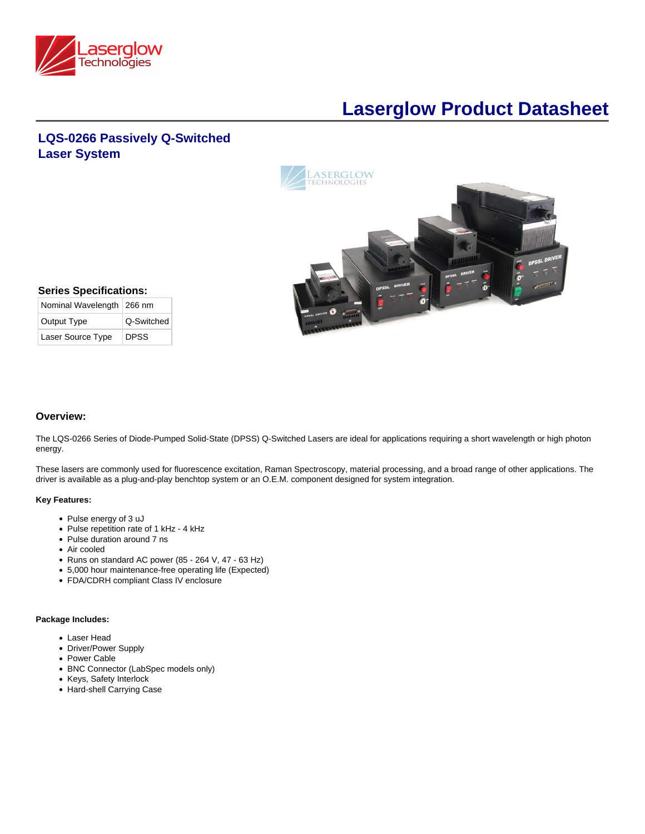

# **Laserglow Product Datasheet**

## **LQS-0266 Passively Q-Switched Laser System**



| <b>Series Specifications:</b> |            |  |  |
|-------------------------------|------------|--|--|
| Nominal Wavelength   266 nm   |            |  |  |
| Output Type                   | Q-Switched |  |  |

Laser Source Type DPSS

| Overview: |  |
|-----------|--|
|-----------|--|

The LQS-0266 Series of Diode-Pumped Solid-State (DPSS) Q-Switched Lasers are ideal for applications requiring a short wavelength or high photon energy.

These lasers are commonly used for fluorescence excitation, Raman Spectroscopy, material processing, and a broad range of other applications. The driver is available as a plug-and-play benchtop system or an O.E.M. component designed for system integration.

#### **Key Features:**

- Pulse energy of 3 uJ
- Pulse repetition rate of 1 kHz 4 kHz
- Pulse duration around 7 ns
- Air cooled
- Runs on standard AC power (85 264 V, 47 63 Hz)
- 5,000 hour maintenance-free operating life (Expected)
- FDA/CDRH compliant Class IV enclosure

#### **Package Includes:**

- Laser Head
- Driver/Power Supply
- Power Cable
- BNC Connector (LabSpec models only)
- Keys, Safety Interlock
- Hard-shell Carrying Case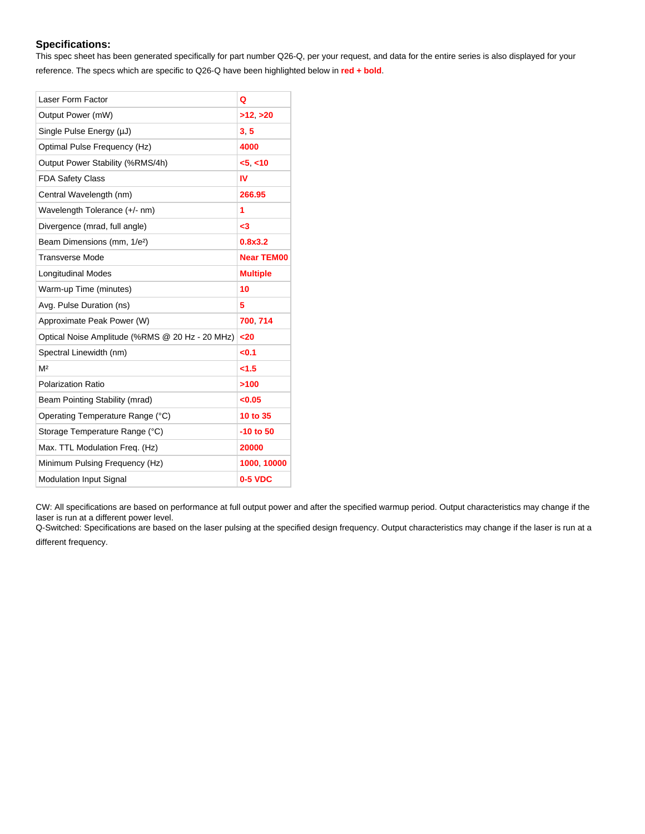## **Specifications:**

This spec sheet has been generated specifically for part number Q26-Q, per your request, and data for the entire series is also displayed for your reference. The specs which are specific to Q26-Q have been highlighted below in **red + bold**.

| Laser Form Factor                               | Q                 |
|-------------------------------------------------|-------------------|
| Output Power (mW)                               | >12, >20          |
| Single Pulse Energy (µJ)                        | 3.5               |
| Optimal Pulse Frequency (Hz)                    | 4000              |
| Output Power Stability (%RMS/4h)                | < 5 < 10          |
| <b>FDA Safety Class</b>                         | IV                |
| Central Wavelength (nm)                         | 266.95            |
| Wavelength Tolerance (+/- nm)                   | 1                 |
| Divergence (mrad, full angle)                   | -3                |
| Beam Dimensions (mm, 1/e <sup>2</sup> )         | 0.8x3.2           |
| <b>Transverse Mode</b>                          | <b>Near TEM00</b> |
| <b>Longitudinal Modes</b>                       | <b>Multiple</b>   |
| Warm-up Time (minutes)                          | 10                |
| Avg. Pulse Duration (ns)                        | 5                 |
| Approximate Peak Power (W)                      | 700 714           |
| Optical Noise Amplitude (%RMS @ 20 Hz - 20 MHz) | $20$              |
| Spectral Linewidth (nm)                         | <0.1              |
| M <sup>2</sup>                                  | < 1.5             |
| Polarization Ratio                              | >100              |
| Beam Pointing Stability (mrad)                  | < 0.05            |
| Operating Temperature Range (°C)                | 10 to 35          |
| Storage Temperature Range (°C)                  | $-10$ to 50       |
| Max. TTL Modulation Freq. (Hz)                  | 20000             |
| Minimum Pulsing Frequency (Hz)                  | 1000 10000        |
| <b>Modulation Input Signal</b>                  | 0-5 VDC           |

CW: All specifications are based on performance at full output power and after the specified warmup period. Output characteristics may change if the laser is run at a different power level.

Q-Switched: Specifications are based on the laser pulsing at the specified design frequency. Output characteristics may change if the laser is run at a different frequency.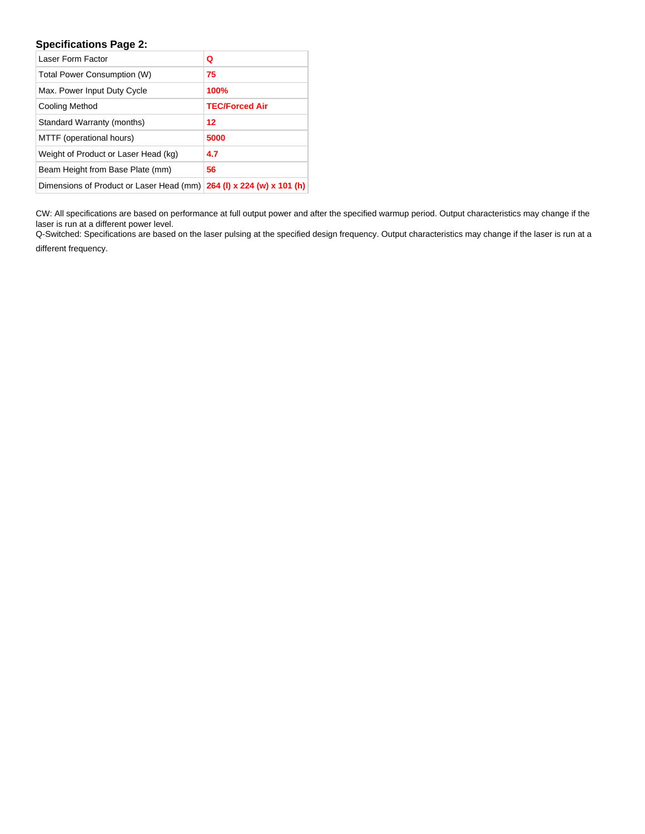## **Specifications Page 2:**

| Laser Form Factor                                                               | Q                     |
|---------------------------------------------------------------------------------|-----------------------|
| Total Power Consumption (W)                                                     | 75                    |
| Max. Power Input Duty Cycle                                                     | 100%                  |
| Cooling Method                                                                  | <b>TEC/Forced Air</b> |
| Standard Warranty (months)                                                      | 12                    |
| MTTF (operational hours)                                                        | 5000                  |
| Weight of Product or Laser Head (kg)                                            | 4.7                   |
| Beam Height from Base Plate (mm)                                                | 56                    |
| Dimensions of Product or Laser Head $(\text{mm})$   264 (I) x 224 (w) x 101 (h) |                       |

CW: All specifications are based on performance at full output power and after the specified warmup period. Output characteristics may change if the laser is run at a different power level.

Q-Switched: Specifications are based on the laser pulsing at the specified design frequency. Output characteristics may change if the laser is run at a different frequency.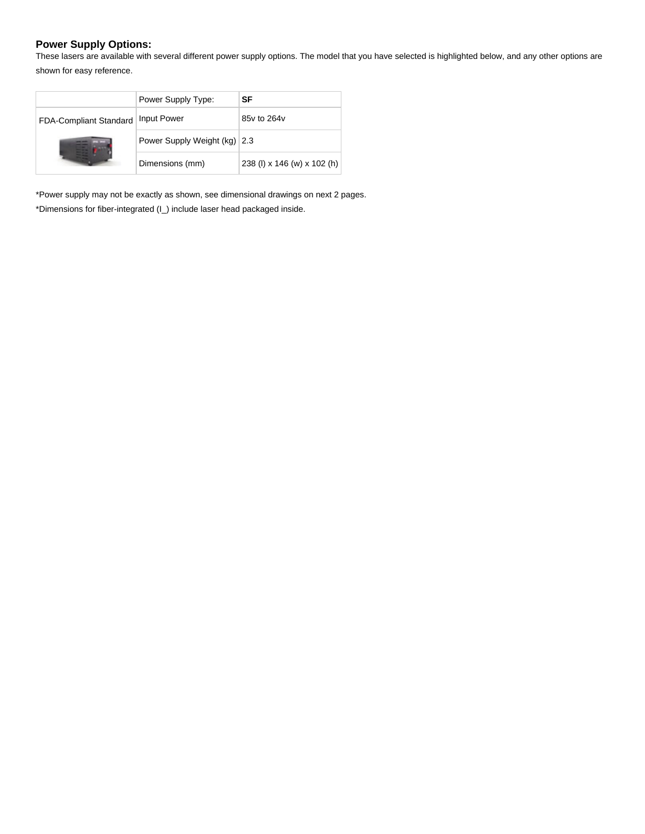## **Power Supply Options:**

These lasers are available with several different power supply options. The model that you have selected is highlighted below, and any other options are shown for easy reference.

|                        | Power Supply Type:           | SF                          |
|------------------------|------------------------------|-----------------------------|
| FDA-Compliant Standard | <b>Input Power</b>           | 85y to 264y                 |
|                        | Power Supply Weight (kg) 2.3 |                             |
|                        | Dimensions (mm)              | 238 (l) x 146 (w) x 102 (h) |

\*Power supply may not be exactly as shown, see dimensional drawings on next 2 pages. \*Dimensions for fiber-integrated (I\_) include laser head packaged inside.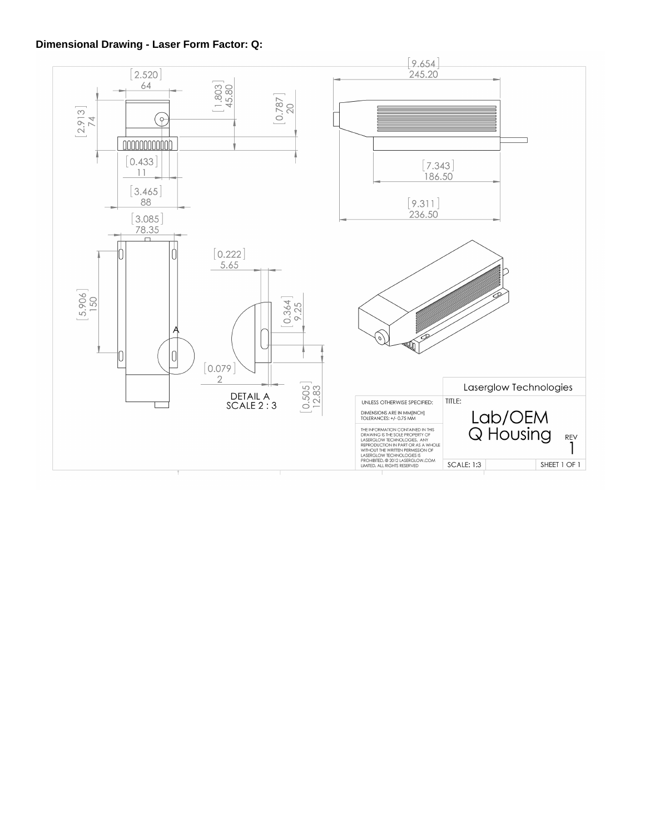## **Dimensional Drawing - Laser Form Factor: Q:**